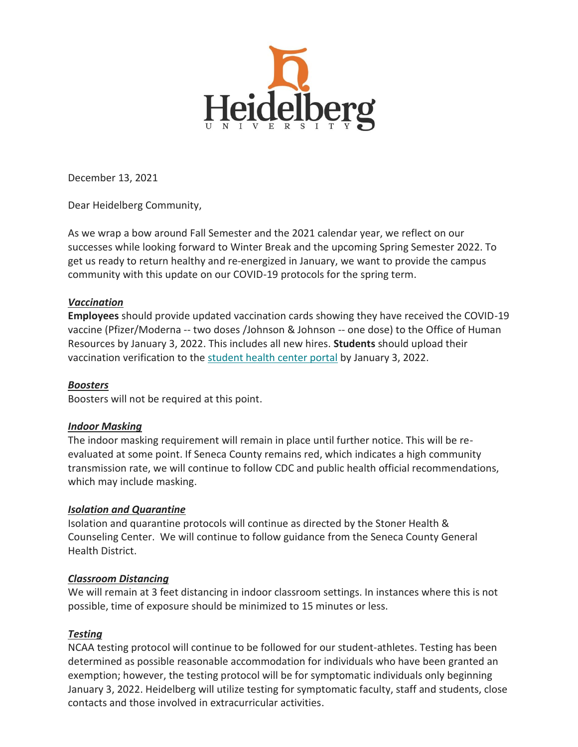

December 13, 2021

Dear Heidelberg Community,

As we wrap a bow around Fall Semester and the 2021 calendar year, we reflect on our successes while looking forward to Winter Break and the upcoming Spring Semester 2022. To get us ready to return healthy and re-energized in January, we want to provide the campus community with this update on our COVID-19 protocols for the spring term.

## *Vaccination*

**Employees** should provide updated vaccination cards showing they have received the COVID-19 vaccine (Pfizer/Moderna -- two doses /Johnson & Johnson -- one dose) to the Office of Human Resources by January 3, 2022. This includes all new hires. **Students** should upload their vaccination verification to the [student health center portal](https://heidelberg.us1.list-manage.com/track/click?u=aedcf85e9275dba4a51d423f2&id=5c8a5a816d&e=5208781db9) by January 3, 2022.

## *Boosters*

Boosters will not be required at this point.

## *Indoor Masking*

The indoor masking requirement will remain in place until further notice. This will be reevaluated at some point. If Seneca County remains red, which indicates a high community transmission rate, we will continue to follow CDC and public health official recommendations, which may include masking.

## *Isolation and Quarantine*

Isolation and quarantine protocols will continue as directed by the Stoner Health & Counseling Center. We will continue to follow guidance from the Seneca County General Health District.

## *Classroom Distancing*

We will remain at 3 feet distancing in indoor classroom settings. In instances where this is not possible, time of exposure should be minimized to 15 minutes or less.

## *Testing*

NCAA testing protocol will continue to be followed for our student-athletes. Testing has been determined as possible reasonable accommodation for individuals who have been granted an exemption; however, the testing protocol will be for symptomatic individuals only beginning January 3, 2022. Heidelberg will utilize testing for symptomatic faculty, staff and students, close contacts and those involved in extracurricular activities.